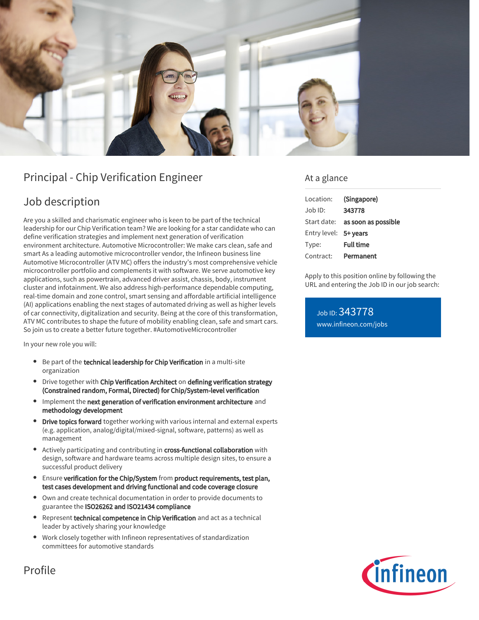

# Principal - Chip Verification Engineer

## Job description

Are you a skilled and charismatic engineer who is keen to be part of the technical leadership for our Chip Verification team? We are looking for a star candidate who can define verification strategies and implement next generation of verification environment architecture. Automotive Microcontroller: We make cars clean, safe and smart As a leading automotive microcontroller vendor, the Infineon business line Automotive Microcontroller (ATV MC) offers the industry's most comprehensive vehicle microcontroller portfolio and complements it with software. We serve automotive key applications, such as powertrain, advanced driver assist, chassis, body, instrument cluster and infotainment. We also address high-performance dependable computing, real-time domain and zone control, smart sensing and affordable artificial intelligence (AI) applications enabling the next stages of automated driving as well as higher levels of car connectivity, digitalization and security. Being at the core of this transformation, ATV MC contributes to shape the future of mobility enabling clean, safe and smart cars. So join us to create a better future together. #AutomotiveMicrocontroller

In your new role you will:

- Be part of the technical leadership for Chip Verification in a multi-site organization
- **•** Drive together with Chip Verification Architect on defining verification strategy (Constrained random, Formal, Directed) for Chip/System-level verification
- Implement the next generation of verification environment architecture and methodology development
- Drive topics forward together working with various internal and external experts (e.g. application, analog/digital/mixed-signal, software, patterns) as well as management
- Actively participating and contributing in cross-functional collaboration with design, software and hardware teams across multiple design sites, to ensure a successful product delivery
- Ensure verification for the Chip/System from product requirements, test plan, test cases development and driving functional and code coverage closure
- Own and create technical documentation in order to provide documents to guarantee the ISO26262 and ISO21434 compliance
- Represent technical competence in Chip Verification and act as a technical leader by actively sharing your knowledge
- Work closely together with Infineon representatives of standardization committees for automotive standards

### At a glance

| Location:             | (Singapore)                            |
|-----------------------|----------------------------------------|
| Job ID:               | 343778                                 |
|                       | Start date: <b>as soon as possible</b> |
| Entry level: 5+ years |                                        |
| Type:                 | <b>Full time</b>                       |
| Contract:             | Permanent                              |

Apply to this position online by following the URL and entering the Job ID in our job search:

Job ID: 343778 [www.infineon.com/jobs](https://www.infineon.com/jobs)



Profile